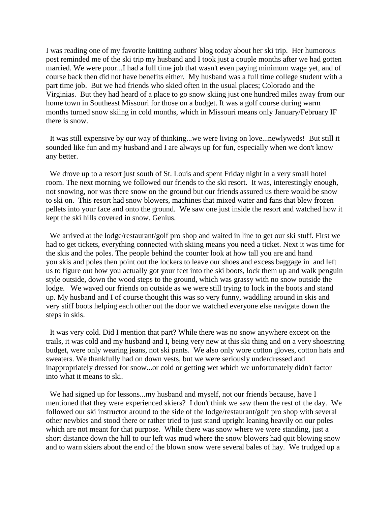I was reading one of my favorite knitting authors' blog today about her ski trip. Her humorous post reminded me of the ski trip my husband and I took just a couple months after we had gotten married. We were poor...I had a full time job that wasn't even paying minimum wage yet, and of course back then did not have benefits either. My husband was a full time college student with a part time job. But we had friends who skied often in the usual places; Colorado and the Virginias. But they had heard of a place to go snow skiing just one hundred miles away from our home town in Southeast Missouri for those on a budget. It was a golf course during warm months turned snow skiing in cold months, which in Missouri means only January/February IF there is snow.

It was still expensive by our way of thinking...we were living on love...newlyweds! But still it sounded like fun and my husband and I are always up for fun, especially when we don't know any better.

We drove up to a resort just south of St. Louis and spent Friday night in a very small hotel room. The next morning we followed our friends to the ski resort. It was, interestingly enough, not snowing, nor was there snow on the ground but our friends assured us there would be snow to ski on. This resort had snow blowers, machines that mixed water and fans that blew frozen pellets into your face and onto the ground. We saw one just inside the resort and watched how it kept the ski hills covered in snow. Genius.

We arrived at the lodge/restaurant/golf pro shop and waited in line to get our ski stuff. First we had to get tickets, everything connected with skiing means you need a ticket. Next it was time for the skis and the poles. The people behind the counter look at how tall you are and hand you skis and poles then point out the lockers to leave our shoes and excess baggage in and left us to figure out how you actually got your feet into the ski boots, lock them up and walk penguin style outside, down the wood steps to the ground, which was grassy with no snow outside the lodge. We waved our friends on outside as we were still trying to lock in the boots and stand up. My husband and I of course thought this was so very funny, waddling around in skis and very stiff boots helping each other out the door we watched everyone else navigate down the steps in skis.

It was very cold. Did I mention that part? While there was no snow anywhere except on the trails, it was cold and my husband and I, being very new at this ski thing and on a very shoestring budget, were only wearing jeans, not ski pants. We also only wore cotton gloves, cotton hats and sweaters. We thankfully had on down vests, but we were seriously underdressed and inappropriately dressed for snow...or cold or getting wet which we unfortunately didn't factor into what it means to ski.

We had signed up for lessons...my husband and myself, not our friends because, have I mentioned that they were experienced skiers? I don't think we saw them the rest of the day. We followed our ski instructor around to the side of the lodge/restaurant/golf pro shop with several other newbies and stood there or rather tried to just stand upright leaning heavily on our poles which are not meant for that purpose. While there was snow where we were standing, just a short distance down the hill to our left was mud where the snow blowers had quit blowing snow and to warn skiers about the end of the blown snow were several bales of hay. We trudged up a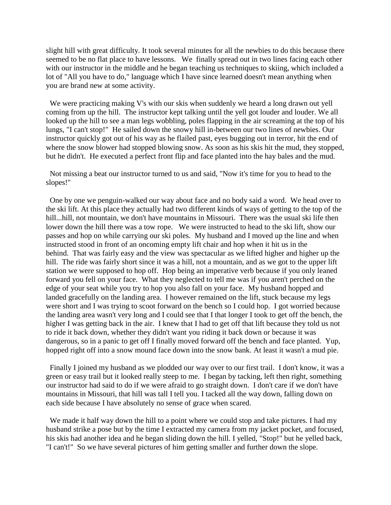slight hill with great difficulty. It took several minutes for all the newbies to do this because there seemed to be no flat place to have lessons. We finally spread out in two lines facing each other with our instructor in the middle and he began teaching us techniques to skiing, which included a lot of "All you have to do," language which I have since learned doesn't mean anything when you are brand new at some activity.

We were practicing making V's with our skis when suddenly we heard a long drawn out yell coming from up the hill. The instructor kept talking until the yell got louder and louder. We all looked up the hill to see a man legs wobbling, poles flapping in the air screaming at the top of his lungs, "I can't stop!" He sailed down the snowy hill in-between our two lines of newbies. Our instructor quickly got out of his way as he flailed past, eyes bugging out in terror, hit the end of where the snow blower had stopped blowing snow. As soon as his skis hit the mud, they stopped, but he didn't. He executed a perfect front flip and face planted into the hay bales and the mud.

Not missing a beat our instructor turned to us and said, "Now it's time for you to head to the slopes!"

One by one we penguin-walked our way about face and no body said a word. We head over to the ski lift. At this place they actually had two different kinds of ways of getting to the top of the hill...hill, not mountain, we don't have mountains in Missouri. There was the usual ski life then lower down the hill there was a tow rope. We were instructed to head to the ski lift, show our passes and hop on while carrying our ski poles. My husband and I moved up the line and when instructed stood in front of an oncoming empty lift chair and hop when it hit us in the behind. That was fairly easy and the view was spectacular as we lifted higher and higher up the hill. The ride was fairly short since it was a hill, not a mountain, and as we got to the upper lift station we were supposed to hop off. Hop being an imperative verb because if you only leaned forward you fell on your face. What they neglected to tell me was if you aren't perched on the edge of your seat while you try to hop you also fall on your face. My husband hopped and landed gracefully on the landing area. I however remained on the lift, stuck because my legs were short and I was trying to scoot forward on the bench so I could hop. I got worried because the landing area wasn't very long and I could see that I that longer I took to get off the bench, the higher I was getting back in the air. I knew that I had to get off that lift because they told us not to ride it back down, whether they didn't want you riding it back down or because it was dangerous, so in a panic to get off I finally moved forward off the bench and face planted. Yup, hopped right off into a snow mound face down into the snow bank. At least it wasn't a mud pie.

Finally I joined my husband as we plodded our way over to our first trail. I don't know, it was a green or easy trail but it looked really steep to me. I began by tacking, left then right, something our instructor had said to do if we were afraid to go straight down. I don't care if we don't have mountains in Missouri, that hill was tall I tell you. I tacked all the way down, falling down on each side because I have absolutely no sense of grace when scared.

We made it half way down the hill to a point where we could stop and take pictures. I had my husband strike a pose but by the time I extracted my camera from my jacket pocket, and focused, his skis had another idea and he began sliding down the hill. I yelled, "Stop!" but he yelled back, "I can't!" So we have several pictures of him getting smaller and further down the slope.